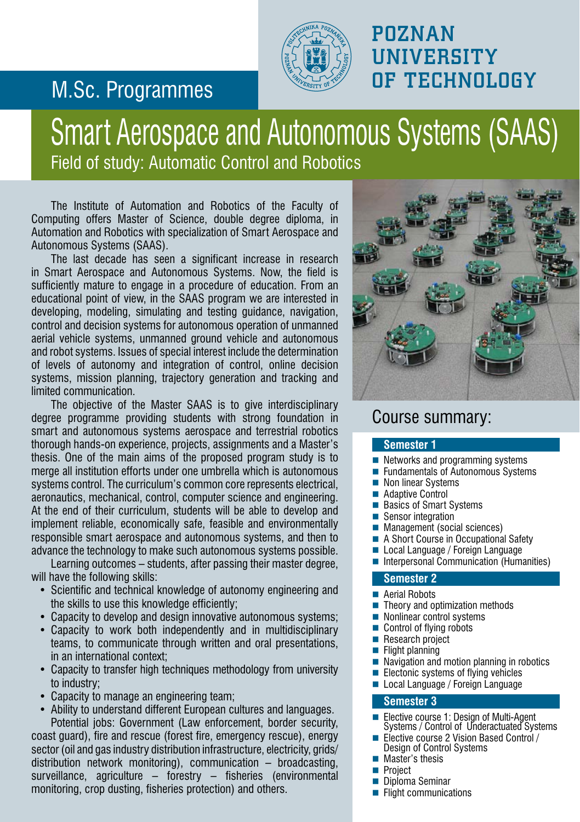## M.Sc. Programmes



### POZNAN **UNIVERSITY** OF TECHNOLOGY

## Smart Aerospace and Autonomous Systems (SAAS) Field of study: Automatic Control and Robotics

The Institute of Automation and Robotics of the Faculty of Computing offers Master of Science, double degree diploma, in Automation and Robotics with specialization of Smart Aerospace and Autonomous Systems (SAAS).

The last decade has seen a significant increase in research in Smart Aerospace and Autonomous Systems. Now, the field is sufficiently mature to engage in a procedure of education. From an educational point of view, in the SAAS program we are interested in developing, modeling, simulating and testing guidance, navigation, control and decision systems for autonomous operation of unmanned aerial vehicle systems, unmanned ground vehicle and autonomous and robot systems. Issues of special interest include the determination of levels of autonomy and integration of control, online decision systems, mission planning, trajectory generation and tracking and limited communication.

The objective of the Master SAAS is to give interdisciplinary degree programme providing students with strong foundation in smart and autonomous systems aerospace and terrestrial robotics thorough hands-on experience, projects, assignments and a Master's thesis. One of the main aims of the proposed program study is to merge all institution efforts under one umbrella which is autonomous systems control. The curriculum's common core represents electrical, aeronautics, mechanical, control, computer science and engineering. At the end of their curriculum, students will be able to develop and implement reliable, economically safe, feasible and environmentally responsible smart aerospace and autonomous systems, and then to advance the technology to make such autonomous systems possible.

Learning outcomes – students, after passing their master degree, will have the following skills:

- Scientific and technical knowledge of autonomy engineering and the skills to use this knowledge efficiently;
- Capacity to develop and design innovative autonomous systems;
- Capacity to work both independently and in multidisciplinary teams, to communicate through written and oral presentations, in an international context;
- Capacity to transfer high techniques methodology from university to industry;
- Capacity to manage an engineering team;
- Ability to understand different European cultures and languages. Potential jobs: Government (Law enforcement, border security, coast guard), fire and rescue (forest fire, emergency rescue), energy sector (oil and gas industry distribution infrastructure, electricity, grids/ distribution network monitoring), communication – broadcasting, surveillance, agriculture – forestry – fisheries (environmental monitoring, crop dusting, fisheries protection) and others.



### Course summary:

#### **Semester 1**

- Networks and programming systems
- Fundamentals of Autonomous Systems
- Non linear Systems
- Adaptive Control
- Basics of Smart Systems
- Sensor integration
- Management (social sciences)
- A Short Course in Occupational Safety
- **Local Language / Foreign Language**
- **Interpersonal Communication (Humanities)**

#### **Semester 2**

- Aerial Robots
- Theory and optimization methods
- Nonlinear control systems
- Control of flying robots
- Research project
- Flight planning
- Navigation and motion planning in robotics
- Electonic systems of flying vehicles
- **Local Language / Foreign Language**

#### **Semester 3**

- Elective course 1: Design of Multi-Agent Systems / Control of Underactuated Systems
- Elective course 2 Vision Based Control / Design of Control Systems
- **Master's thesis**
- **Project**
- **Diploma Seminar**
- $\blacksquare$  Flight communications